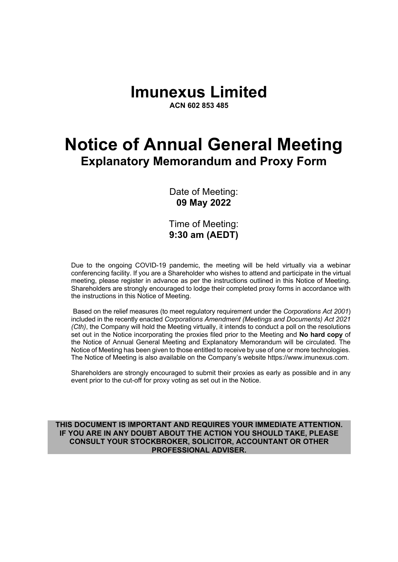# **Imunexus Limited**

**ACN 602 853 485**

# **Notice of Annual General Meeting Explanatory Memorandum and Proxy Form**

Date of Meeting: **09 May 2022**

Time of Meeting: **9:30 am (AEDT)**

Due to the ongoing COVID-19 pandemic, the meeting will be held virtually via a webinar conferencing facility. If you are a Shareholder who wishes to attend and participate in the virtual meeting, please register in advance as per the instructions outlined in this Notice of Meeting. Shareholders are strongly encouraged to lodge their completed proxy forms in accordance with the instructions in this Notice of Meeting.

Based on the relief measures (to meet regulatory requirement under the *Corporations Act 2001*) included in the recently enacted *Corporations Amendment (Meetings and Documents) Act 2021 (Cth)*, the Company will hold the Meeting virtually, it intends to conduct a poll on the resolutions set out in the Notice incorporating the proxies filed prior to the Meeting and **No hard copy** of the Notice of Annual General Meeting and Explanatory Memorandum will be circulated. The Notice of Meeting has been given to those entitled to receive by use of one or more technologies. The Notice of Meeting is also available on the Company's website https://www.imunexus.com.

Shareholders are strongly encouraged to submit their proxies as early as possible and in any event prior to the cut-off for proxy voting as set out in the Notice.

**THIS DOCUMENT IS IMPORTANT AND REQUIRES YOUR IMMEDIATE ATTENTION. IF YOU ARE IN ANY DOUBT ABOUT THE ACTION YOU SHOULD TAKE, PLEASE CONSULT YOUR STOCKBROKER, SOLICITOR, ACCOUNTANT OR OTHER PROFESSIONAL ADVISER.**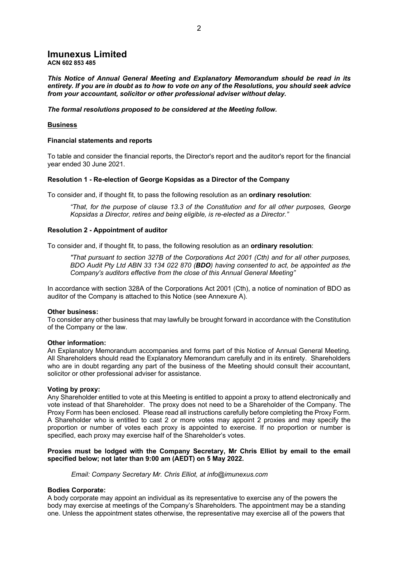#### **Imunexus Limited ACN 602 853 485**

*This Notice of Annual General Meeting and Explanatory Memorandum should be read in its entirety. If you are in doubt as to how to vote on any of the Resolutions, you should seek advice from your accountant, solicitor or other professional adviser without delay.*

*The formal resolutions proposed to be considered at the Meeting follow.*

#### **Business**

#### **Financial statements and reports**

To table and consider the financial reports, the Director's report and the auditor's report for the financial year ended 30 June 2021.

#### **Resolution 1 - Re-election of George Kopsidas as a Director of the Company**

To consider and, if thought fit, to pass the following resolution as an **ordinary resolution**:

*"That, for the purpose of clause 13.3 of the Constitution and for all other purposes, George Kopsidas a Director, retires and being eligible, is re-elected as a Director."*

#### **Resolution 2 - Appointment of auditor**

To consider and, if thought fit, to pass, the following resolution as an **ordinary resolution**:

*"That pursuant to section 327B of the Corporations Act 2001 (Cth) and for all other purposes, BDO Audit Pty Ltd ABN 33 134 022 870 (BDO) having consented to act, be appointed as the Company's auditors effective from the close of this Annual General Meeting"*

In accordance with section 328A of the Corporations Act 2001 (Cth), a notice of nomination of BDO as auditor of the Company is attached to this Notice (see Annexure A).

#### **Other business:**

To consider any other business that may lawfully be brought forward in accordance with the Constitution of the Company or the law.

#### **Other information:**

An Explanatory Memorandum accompanies and forms part of this Notice of Annual General Meeting. All Shareholders should read the Explanatory Memorandum carefully and in its entirety. Shareholders who are in doubt regarding any part of the business of the Meeting should consult their accountant, solicitor or other professional adviser for assistance.

#### **Voting by proxy:**

Any Shareholder entitled to vote at this Meeting is entitled to appoint a proxy to attend electronically and vote instead of that Shareholder. The proxy does not need to be a Shareholder of the Company. The Proxy Form has been enclosed. Please read all instructions carefully before completing the Proxy Form. A Shareholder who is entitled to cast 2 or more votes may appoint 2 proxies and may specify the proportion or number of votes each proxy is appointed to exercise. If no proportion or number is specified, each proxy may exercise half of the Shareholder's votes.

#### **Proxies must be lodged with the Company Secretary, Mr Chris Elliot by email to the email specified below; not later than 9:00 am (AEDT) on 5 May 2022.**

*Email: Company Secretary Mr. Chris Elliot, at info@imunexus.com*

#### **Bodies Corporate:**

A body corporate may appoint an individual as its representative to exercise any of the powers the body may exercise at meetings of the Company's Shareholders. The appointment may be a standing one. Unless the appointment states otherwise, the representative may exercise all of the powers that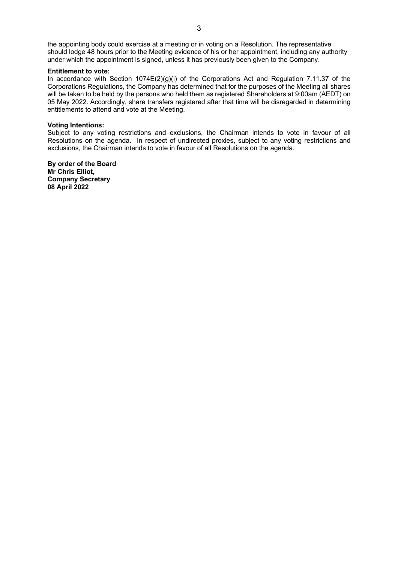the appointing body could exercise at a meeting or in voting on a Resolution. The representative should lodge 48 hours prior to the Meeting evidence of his or her appointment, including any authority under which the appointment is signed, unless it has previously been given to the Company.

#### **Entitlement to vote:**

In accordance with Section 1074E(2)(g)(i) of the Corporations Act and Regulation 7.11.37 of the Corporations Regulations, the Company has determined that for the purposes of the Meeting all shares will be taken to be held by the persons who held them as registered Shareholders at 9:00am (AEDT) on 05 May 2022. Accordingly, share transfers registered after that time will be disregarded in determining entitlements to attend and vote at the Meeting.

#### **Voting Intentions:**

Subject to any voting restrictions and exclusions, the Chairman intends to vote in favour of all Resolutions on the agenda. In respect of undirected proxies, subject to any voting restrictions and exclusions, the Chairman intends to vote in favour of all Resolutions on the agenda.

**By order of the Board Mr Chris Elliot, Company Secretary 08 April 2022**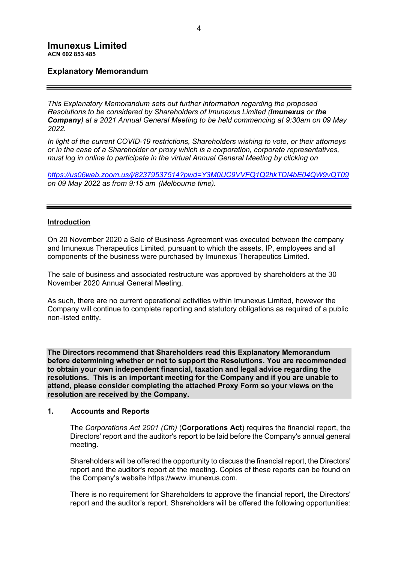# **Explanatory Memorandum**

*This Explanatory Memorandum sets out further information regarding the proposed Resolutions to be considered by Shareholders of Imunexus Limited (Imunexus or the Company) at a 2021 Annual General Meeting to be held commencing at 9:30am on 09 May 2022.* 

*In light of the current COVID-19 restrictions, Shareholders wishing to vote, or their attorneys or in the case of a Shareholder or proxy which is a corporation, corporate representatives, must log in online to participate in the virtual Annual General Meeting by clicking on*

*https://us06web.zoom.us/j/82379537514?pwd=Y3M0UC9VVFQ1Q2hkTDI4bE04QW9vQT09 on 09 May 2022 as from 9:15 am (Melbourne time).*

#### **Introduction**

On 20 November 2020 a Sale of Business Agreement was executed between the company and Imunexus Therapeutics Limited, pursuant to which the assets, IP, employees and all components of the business were purchased by Imunexus Therapeutics Limited.

The sale of business and associated restructure was approved by shareholders at the 30 November 2020 Annual General Meeting.

As such, there are no current operational activities within Imunexus Limited, however the Company will continue to complete reporting and statutory obligations as required of a public non-listed entity.

**The Directors recommend that Shareholders read this Explanatory Memorandum before determining whether or not to support the Resolutions. You are recommended to obtain your own independent financial, taxation and legal advice regarding the resolutions. This is an important meeting for the Company and if you are unable to attend, please consider completing the attached Proxy Form so your views on the resolution are received by the Company.**

#### **1. Accounts and Reports**

The *Corporations Act 2001 (Cth)* (**Corporations Act**) requires the financial report, the Directors' report and the auditor's report to be laid before the Company's annual general meeting.

Shareholders will be offered the opportunity to discuss the financial report, the Directors' report and the auditor's report at the meeting. Copies of these reports can be found on the Company's website https://www.imunexus.com.

There is no requirement for Shareholders to approve the financial report, the Directors' report and the auditor's report. Shareholders will be offered the following opportunities: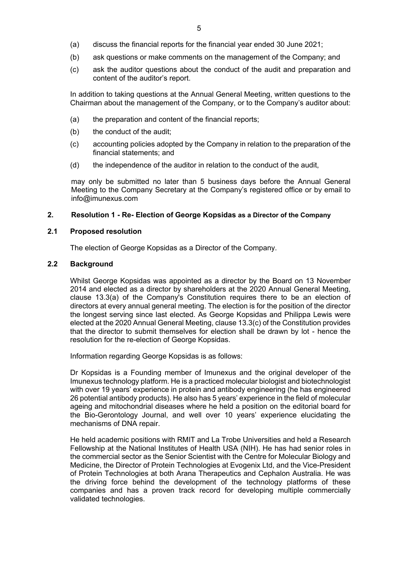- (a) discuss the financial reports for the financial year ended 30 June 2021;
- (b) ask questions or make comments on the management of the Company; and
- (c) ask the auditor questions about the conduct of the audit and preparation and content of the auditor's report.

In addition to taking questions at the Annual General Meeting, written questions to the Chairman about the management of the Company, or to the Company's auditor about:

- (a) the preparation and content of the financial reports;
- (b) the conduct of the audit;
- (c) accounting policies adopted by the Company in relation to the preparation of the financial statements; and
- (d) the independence of the auditor in relation to the conduct of the audit,

may only be submitted no later than 5 business days before the Annual General Meeting to the Company Secretary at the Company's registered office or by email to info@imunexus.com

# **2. Resolution 1 - Re- Election of George Kopsidas as a Director of the Company**

# **2.1 Proposed resolution**

The election of George Kopsidas as a Director of the Company.

# **2.2 Background**

Whilst George Kopsidas was appointed as a director by the Board on 13 November 2014 and elected as a director by shareholders at the 2020 Annual General Meeting, clause 13.3(a) of the Company's Constitution requires there to be an election of directors at every annual general meeting. The election is for the position of the director the longest serving since last elected. As George Kopsidas and Philippa Lewis were elected at the 2020 Annual General Meeting, clause 13.3(c) of the Constitution provides that the director to submit themselves for election shall be drawn by lot - hence the resolution for the re-election of George Kopsidas.

Information regarding George Kopsidas is as follows:

Dr Kopsidas is a Founding member of Imunexus and the original developer of the Imunexus technology platform. He is a practiced molecular biologist and biotechnologist with over 19 years' experience in protein and antibody engineering (he has engineered 26 potential antibody products). He also has 5 years' experience in the field of molecular ageing and mitochondrial diseases where he held a position on the editorial board for the Bio-Gerontology Journal, and well over 10 years' experience elucidating the mechanisms of DNA repair.

He held academic positions with RMIT and La Trobe Universities and held a Research Fellowship at the National Institutes of Health USA (NIH). He has had senior roles in the commercial sector as the Senior Scientist with the Centre for Molecular Biology and Medicine, the Director of Protein Technologies at Evogenix Ltd, and the Vice-President of Protein Technologies at both Arana Therapeutics and Cephalon Australia. He was the driving force behind the development of the technology platforms of these companies and has a proven track record for developing multiple commercially validated technologies.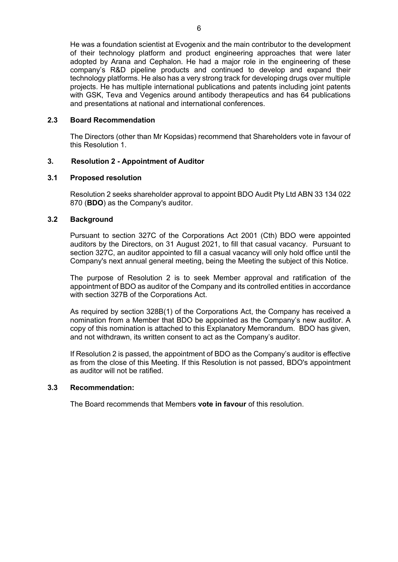He was a foundation scientist at Evogenix and the main contributor to the development of their technology platform and product engineering approaches that were later adopted by Arana and Cephalon. He had a major role in the engineering of these company's R&D pipeline products and continued to develop and expand their technology platforms. He also has a very strong track for developing drugs over multiple projects. He has multiple international publications and patents including joint patents with GSK, Teva and Vegenics around antibody therapeutics and has 64 publications and presentations at national and international conferences.

# **2.3 Board Recommendation**

The Directors (other than Mr Kopsidas) recommend that Shareholders vote in favour of this Resolution 1.

# **3. Resolution 2 - Appointment of Auditor**

# **3.1 Proposed resolution**

Resolution 2 seeks shareholder approval to appoint BDO Audit Pty Ltd ABN 33 134 022 870 (**BDO**) as the Company's auditor.

# **3.2 Background**

Pursuant to section 327C of the Corporations Act 2001 (Cth) BDO were appointed auditors by the Directors, on 31 August 2021, to fill that casual vacancy. Pursuant to section 327C, an auditor appointed to fill a casual vacancy will only hold office until the Company's next annual general meeting, being the Meeting the subject of this Notice.

The purpose of Resolution 2 is to seek Member approval and ratification of the appointment of BDO as auditor of the Company and its controlled entities in accordance with section 327B of the Corporations Act.

As required by section 328B(1) of the Corporations Act, the Company has received a nomination from a Member that BDO be appointed as the Company's new auditor. A copy of this nomination is attached to this Explanatory Memorandum. BDO has given, and not withdrawn, its written consent to act as the Company's auditor.

If Resolution 2 is passed, the appointment of BDO as the Company's auditor is effective as from the close of this Meeting. If this Resolution is not passed, BDO's appointment as auditor will not be ratified.

#### **3.3 Recommendation:**

The Board recommends that Members **vote in favour** of this resolution.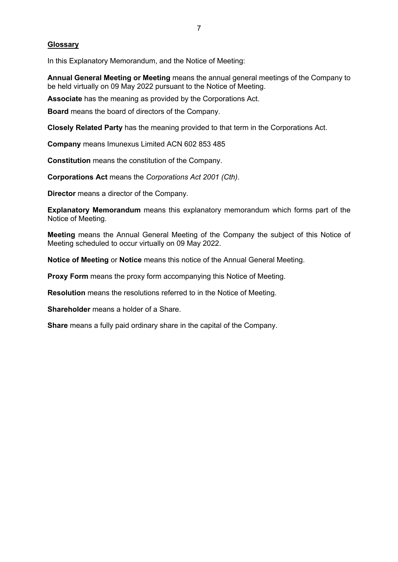# **Glossary**

In this Explanatory Memorandum, and the Notice of Meeting:

**Annual General Meeting or Meeting** means the annual general meetings of the Company to be held virtually on 09 May 2022 pursuant to the Notice of Meeting.

**Associate** has the meaning as provided by the Corporations Act.

**Board** means the board of directors of the Company.

**Closely Related Party** has the meaning provided to that term in the Corporations Act.

**Company** means Imunexus Limited ACN 602 853 485

**Constitution** means the constitution of the Company.

**Corporations Act** means the *Corporations Act 2001 (Cth)*.

**Director** means a director of the Company.

**Explanatory Memorandum** means this explanatory memorandum which forms part of the Notice of Meeting.

**Meeting** means the Annual General Meeting of the Company the subject of this Notice of Meeting scheduled to occur virtually on 09 May 2022.

**Notice of Meeting** or **Notice** means this notice of the Annual General Meeting.

**Proxy Form** means the proxy form accompanying this Notice of Meeting.

**Resolution** means the resolutions referred to in the Notice of Meeting.

**Shareholder** means a holder of a Share.

**Share** means a fully paid ordinary share in the capital of the Company.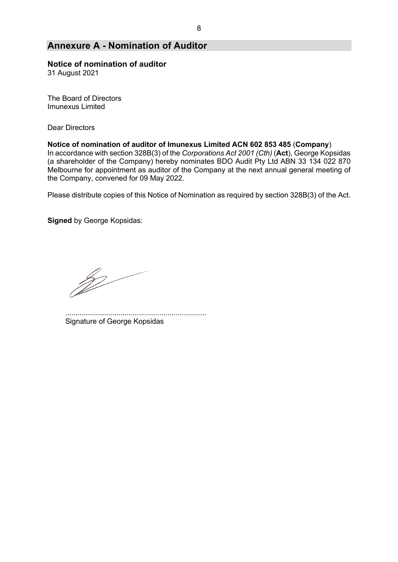# **Annexure A - Nomination of Auditor**

# **Notice of nomination of auditor**

31 August 2021

The Board of Directors Imunexus Limited

Dear Directors

#### **Notice of nomination of auditor of Imunexus Limited ACN 602 853 485** (**Company**)

In accordance with section 328B(3) of the *Corporations Act 2001 (Cth)* (**Act**), George Kopsidas (a shareholder of the Company) hereby nominates BDO Audit Pty Ltd ABN 33 134 022 870 Melbourne for appointment as auditor of the Company at the next annual general meeting of the Company, convened for 09 May 2022.

Please distribute copies of this Notice of Nomination as required by section 328B(3) of the Act.

**Signed** by George Kopsidas:

p

..................................................................... Signature of George Kopsidas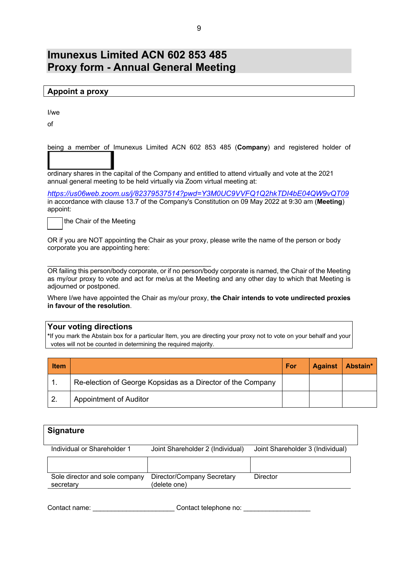# **Imunexus Limited ACN 602 853 485 Proxy form - Annual General Meeting**

|  |  | <b>Appoint a proxy</b> |  |
|--|--|------------------------|--|
|  |  |                        |  |

I/we

of

being a member of Imunexus Limited ACN 602 853 485 (**Company**) and registered holder of

ordinary shares in the capital of the Company and entitled to attend virtually and vote at the 2021 annual general meeting to be held virtually via Zoom virtual meeting at:

*https://us06web.zoom.us/j/82379537514?pwd=Y3M0UC9VVFQ1Q2hkTDI4bE04QW9vQT09* in accordance with clause 13.7 of the Company's Constitution on 09 May 2022 at 9:30 am (**Meeting**) appoint:

the Chair of the Meeting

OR if you are NOT appointing the Chair as your proxy, please write the name of the person or body corporate you are appointing here:

 $\mathcal{L}_\text{max}$  and  $\mathcal{L}_\text{max}$  and  $\mathcal{L}_\text{max}$  and  $\mathcal{L}_\text{max}$  and  $\mathcal{L}_\text{max}$ OR failing this person/body corporate, or if no person/body corporate is named, the Chair of the Meeting as my/our proxy to vote and act for me/us at the Meeting and any other day to which that Meeting is adjourned or postponed.

Where I/we have appointed the Chair as my/our proxy, **the Chair intends to vote undirected proxies in favour of the resolution**.

# **Your voting directions**

**\***If you mark the Abstain box for a particular Item, you are directing your proxy not to vote on your behalf and your votes will not be counted in determining the required majority.

| <b>Item</b> |                                                             | For | <b>Against</b> | Abstain* |
|-------------|-------------------------------------------------------------|-----|----------------|----------|
|             | Re-election of George Kopsidas as a Director of the Company |     |                |          |
| -2.         | <b>Appointment of Auditor</b>                               |     |                |          |

| <b>Signature</b>                            |                                            |                                  |
|---------------------------------------------|--------------------------------------------|----------------------------------|
| Individual or Shareholder 1                 | Joint Shareholder 2 (Individual)           | Joint Shareholder 3 (Individual) |
|                                             |                                            |                                  |
| Sole director and sole company<br>secretary | Director/Company Secretary<br>(delete one) | Director                         |

Contact name: example and contact telephone no:  $\blacksquare$